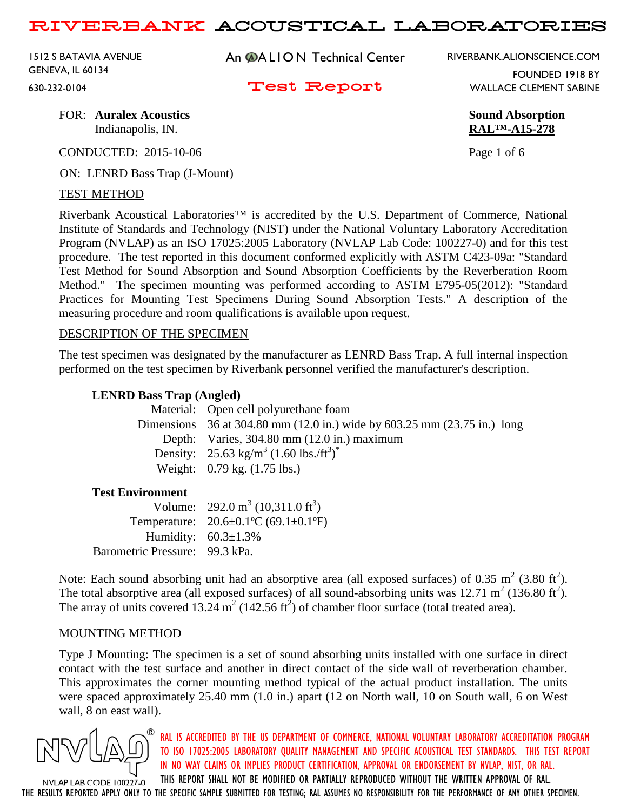1512 S BATAVIA AVENUE GENEVA, IL 60134 630-232-0104

An **@ALION** Technical Center

Test Report

RIVERBANK.ALIONSCIENCE.COM

FOUNDED 1918 BY WALLACE CLEMENT SABINE

FOR: **Auralex Acoustics Sound Absorption** Indianapolis, IN. **RAL™-A15-278**

CONDUCTED: 2015-10-06 Page 1 of 6

ON: LENRD Bass Trap (J-Mount)

#### TEST METHOD

Riverbank Acoustical Laboratories™ is accredited by the U.S. Department of Commerce, National Institute of Standards and Technology (NIST) under the National Voluntary Laboratory Accreditation Program (NVLAP) as an ISO 17025:2005 Laboratory (NVLAP Lab Code: 100227-0) and for this test procedure. The test reported in this document conformed explicitly with ASTM C423-09a: "Standard Test Method for Sound Absorption and Sound Absorption Coefficients by the Reverberation Room Method." The specimen mounting was performed according to ASTM E795-05(2012): "Standard Practices for Mounting Test Specimens During Sound Absorption Tests." A description of the measuring procedure and room qualifications is available upon request.

#### DESCRIPTION OF THE SPECIMEN

The test specimen was designated by the manufacturer as LENRD Bass Trap. A full internal inspection performed on the test specimen by Riverbank personnel verified the manufacturer's description.

#### **LENRD Bass Trap (Angled)**

|  |  | Material: Open cell polyurethane foam                                    |
|--|--|--------------------------------------------------------------------------|
|  |  | Dimensions 36 at 304.80 mm (12.0 in.) wide by 603.25 mm (23.75 in.) long |
|  |  | Depth: Varies, 304.80 mm (12.0 in.) maximum                              |
|  |  | Density: $25.63 \text{ kg/m}^3 (1.60 \text{ lbs.}/\text{ft}^3)^*$        |
|  |  | Weight: $0.79 \text{ kg}$ . $(1.75 \text{ lbs.})$                        |
|  |  |                                                                          |

#### **Test Environment**

|                                | Volume: $292.0 \text{ m}^3 (10,311.0 \text{ ft}^3)$ |
|--------------------------------|-----------------------------------------------------|
|                                | Temperature: $20.6 \pm 0.1$ °C (69.1 $\pm 0.1$ °F)  |
|                                | Humidity: $60.3 \pm 1.3\%$                          |
| Barometric Pressure: 99.3 kPa. |                                                     |

Note: Each sound absorbing unit had an absorptive area (all exposed surfaces) of 0.35  $m^2$  (3.80 ft<sup>2</sup>). The total absorptive area (all exposed surfaces) of all sound-absorbing units was  $12.71 \text{ m}^2$  (136.80 ft<sup>2</sup>). The array of units covered 13.24 m<sup>2</sup> (142.56 ft<sup>2</sup>) of chamber floor surface (total treated area).

#### MOUNTING METHOD

Type J Mounting: The specimen is a set of sound absorbing units installed with one surface in direct contact with the test surface and another in direct contact of the side wall of reverberation chamber. This approximates the corner mounting method typical of the actual product installation. The units were spaced approximately 25.40 mm (1.0 in.) apart (12 on North wall, 10 on South wall, 6 on West wall, 8 on east wall).



RAL IS ACCREDITED BY THE US DEPARTMENT OF COMMERCE, NATIONAL VOLUNTARY LABORATORY ACCREDITATION PROGRAM TO ISO 17025:2005 LABORATORY QUALITY MANAGEMENT AND SPECIFIC ACOUSTICAL TEST STANDARDS. THIS TEST REPORT IN NO WAY CLAIMS OR IMPLIES PRODUCT CERTIFICATION, APPROVAL OR ENDORSEMENT BY NVLAP, NIST, OR RAL.

THIS REPORT SHALL NOT BE MODIFIED OR PARTIALLY REPRODUCED WITHOUT THE WRITTEN APPROVAL OF RAL. NVLAP LAB CODE 100227-0 THE RESULTS REPORTED APPLY ONLY TO THE SPECIFIC SAMPLE SUBMITTED FOR TESTING; RAL ASSUMES NO RESPONSIBILITY FOR THE PERFORMANCE OF ANY OTHER SPECIMEN.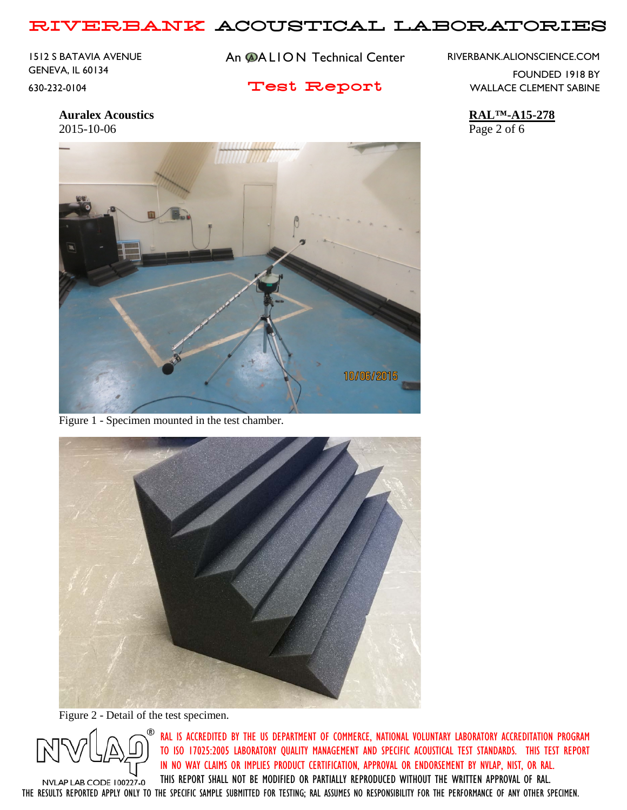1512 S BATAVIA AVENUE GENEVA, IL 60134 630-232-0104

An **@ALION** Technical Center

## Test Report

RIVERBANK.ALIONSCIENCE.COM

FOUNDED 1918 BY WALLACE CLEMENT SABINE

**Auralex Acoustics RAL™-A15-278** 2015-10-06 Page 2 of 6



Figure 1 - Specimen mounted in the test chamber.



Figure 2 - Detail of the test specimen.



RAL IS ACCREDITED BY THE US DEPARTMENT OF COMMERCE, NATIONAL VOLUNTARY LABORATORY ACCREDITATION PROGRAM TO ISO 17025:2005 LABORATORY QUALITY MANAGEMENT AND SPECIFIC ACOUSTICAL TEST STANDARDS. THIS TEST REPORT IN NO WAY CLAIMS OR IMPLIES PRODUCT CERTIFICATION, APPROVAL OR ENDORSEMENT BY NVLAP, NIST, OR RAL. THIS REPORT SHALL NOT BE MODIFIED OR PARTIALLY REPRODUCED WITHOUT THE WRITTEN APPROVAL OF RAL.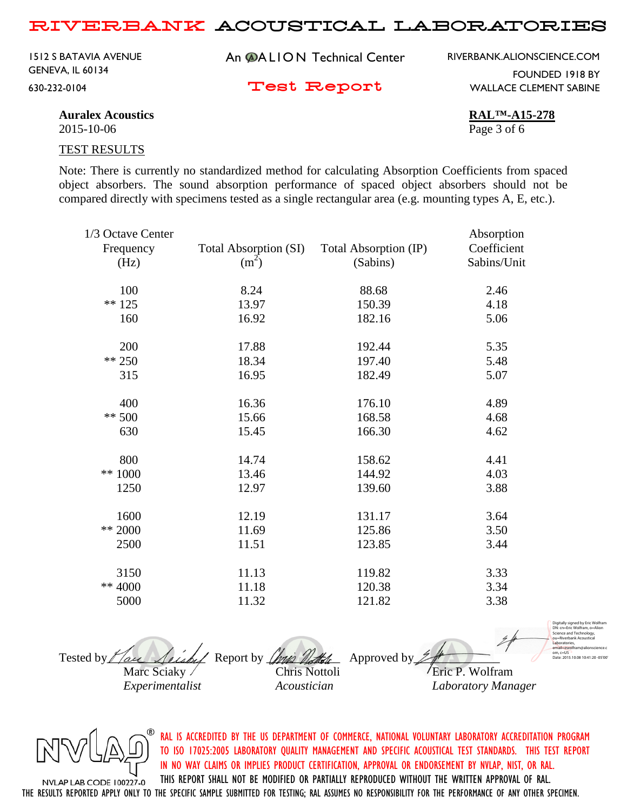An **@ALION** Technical Center Test Report 1512 S BATAVIA AVENUE GENEVA, IL 60134 630-232-0104

RIVERBANK.ALIONSCIENCE.COM

FOUNDED 1918 BY WALLACE CLEMENT SABINE

**Auralex Acoustics RAL™-A15-278**

2015-10-06 Page 3 of 6

TEST RESULTS

Note: There is currently no standardized method for calculating Absorption Coefficients from spaced object absorbers. The sound absorption performance of spaced object absorbers should not be compared directly with specimens tested as a single rectangular area (e.g. mounting types A, E, etc.).

| 1/3 Octave Center |                       |                       | Absorption  |
|-------------------|-----------------------|-----------------------|-------------|
| Frequency         | Total Absorption (SI) | Total Absorption (IP) | Coefficient |
| (Hz)              | (m <sup>2</sup> )     | (Sabins)              | Sabins/Unit |
| 100               | 8.24                  | 88.68                 | 2.46        |
| $** 125$          | 13.97                 | 150.39                | 4.18        |
| 160               | 16.92                 | 182.16                | 5.06        |
| 200               | 17.88                 | 192.44                | 5.35        |
| ** 250            | 18.34                 | 197.40                | 5.48        |
| 315               | 16.95                 | 182.49                | 5.07        |
| 400               | 16.36                 | 176.10                | 4.89        |
| ** $500$          | 15.66                 | 168.58                | 4.68        |
| 630               | 15.45                 | 166.30                | 4.62        |
| 800               | 14.74                 | 158.62                | 4.41        |
| $** 1000$         | 13.46                 | 144.92                | 4.03        |
| 1250              | 12.97                 | 139.60                | 3.88        |
| 1600              | 12.19                 | 131.17                | 3.64        |
| ** 2000           | 11.69                 | 125.86                | 3.50        |
| 2500              | 11.51                 | 123.85                | 3.44        |
| 3150              | 11.13                 | 119.82                | 3.33        |
| ** 4000           | 11.18                 | 120.38                | 3.34        |
| 5000              | 11.32                 | 121.82                | 3.38        |
|                   |                       |                       |             |





RAL IS ACCREDITED BY THE US DEPARTMENT OF COMMERCE, NATIONAL VOLUNTARY LABORATORY ACCREDITATION PROGRAM TO ISO 17025:2005 LABORATORY QUALITY MANAGEMENT AND SPECIFIC ACOUSTICAL TEST STANDARDS. THIS TEST REPORT IN NO WAY CLAIMS OR IMPLIES PRODUCT CERTIFICATION, APPROVAL OR ENDORSEMENT BY NVLAP, NIST, OR RAL. THIS REPORT SHALL NOT BE MODIFIED OR PARTIALLY REPRODUCED WITHOUT THE WRITTEN APPROVAL OF RAL.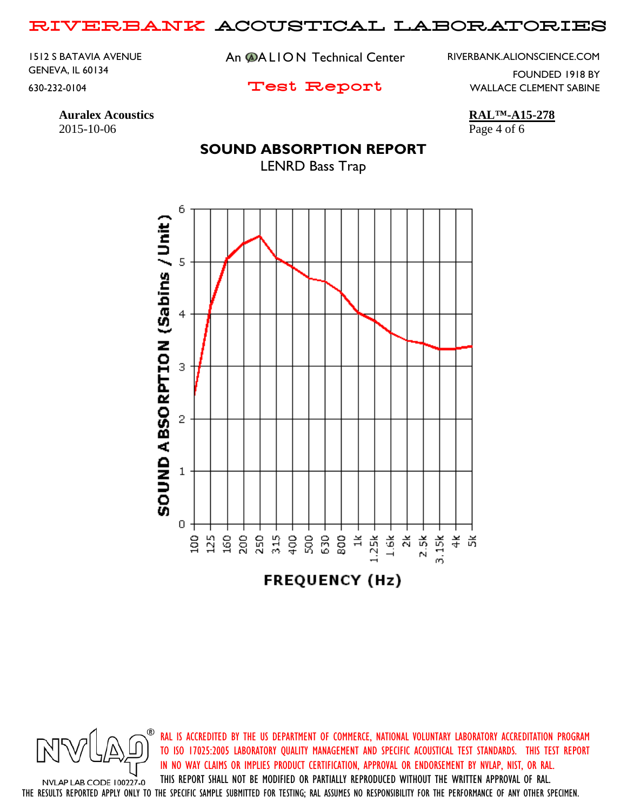1512 S BATAVIA AVENUE GENEVA, IL 60134 630-232-0104

An **@ALION** Technical Center

RIVERBANK.ALIONSCIENCE.COM

Test Report

WALLACE CLEMENT SABINE

FOUNDED 1918 BY

**Auralex Acoustics RAL™-A15-278** 2015-10-06 Page 4 of 6

### **SOUND ABSORPTION REPORT**

LENRD Bass Trap



RAL IS ACCREDITED BY THE US DEPARTMENT OF COMMERCE, NATIONAL VOLUNTARY LABORATORY ACCREDITATION PROGRAM TO ISO 17025:2005 LABORATORY QUALITY MANAGEMENT AND SPECIFIC ACOUSTICAL TEST STANDARDS. THIS TEST REPORT IN NO WAY CLAIMS OR IMPLIES PRODUCT CERTIFICATION, APPROVAL OR ENDORSEMENT BY NVLAP, NIST, OR RAL. THIS REPORT SHALL NOT BE MODIFIED OR PARTIALLY REPRODUCED WITHOUT THE WRITTEN APPROVAL OF RAL.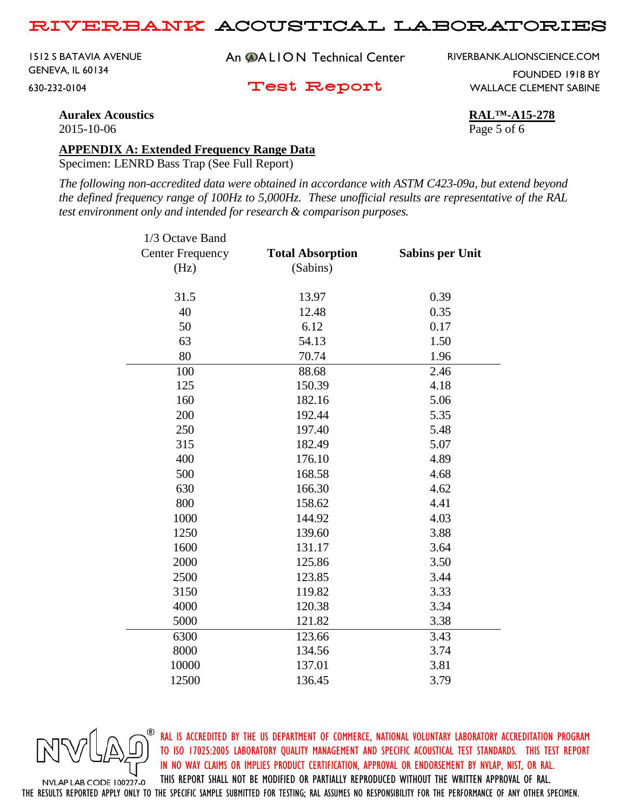1512 S BATAVIA AVENUE GENEVA, IL 60134 630-232-0104

An **@ALION** Technical Center

RIVERBANK.ALIONSCIENCE.COM

FOUNDED 1918 BY

Test Report

WALLACE CLEMENT SABINE

**Auralex Acoustics RAL™-A15-278** 2015-10-06 Page 5 of 6

#### **APPENDIX A: Extended Frequency Range Data**

Specimen: LENRD Bass Trap (See Full Report)

*The following non-accredited data were obtained in accordance with ASTM C423-09a, but extend beyond the defined frequency range of 100Hz to 5,000Hz. These unofficial results are representative of the RAL test environment only and intended for research & comparison purposes.* 

| 1/3 Octave Band         |                         |                        |
|-------------------------|-------------------------|------------------------|
| <b>Center Frequency</b> | <b>Total Absorption</b> | <b>Sabins per Unit</b> |
| (Hz)                    | (Sabins)                |                        |
| 31.5                    | 13.97                   | 0.39                   |
| 40                      | 12.48                   | 0.35                   |
| 50                      | 6.12                    | 0.17                   |
| 63                      | 54.13                   | 1.50                   |
| 80                      | 70.74                   | 1.96                   |
| 100                     | 88.68                   | 2.46                   |
| 125                     | 150.39                  | 4.18                   |
| 160                     | 182.16                  | 5.06                   |
| 200                     | 192.44                  | 5.35                   |
| 250                     | 197.40                  | 5.48                   |
| 315                     | 182.49                  | 5.07                   |
| 400                     | 176.10                  | 4.89                   |
| 500                     | 168.58                  | 4.68                   |
| 630                     | 166.30                  | 4.62                   |
| 800                     | 158.62                  | 4.41                   |
| 1000                    | 144.92                  | 4.03                   |
| 1250                    | 139.60                  | 3.88                   |
| 1600                    | 131.17                  | 3.64                   |
| 2000                    | 125.86                  | 3.50                   |
| 2500                    | 123.85                  | 3.44                   |
| 3150                    | 119.82                  | 3.33                   |
| 4000                    | 120.38                  | 3.34                   |
| 5000                    | 121.82                  | 3.38                   |
| 6300                    | 123.66                  | 3.43                   |
| 8000                    | 134.56                  | 3.74                   |
| 10000                   | 137.01                  | 3.81                   |
| 12500                   | 136.45                  | 3.79                   |



RAL IS ACCREDITED BY THE US DEPARTMENT OF COMMERCE, NATIONAL VOLUNTARY LABORATORY ACCREDITATION PROGRAM TO ISO 17025:2005 LABORATORY QUALITY MANAGEMENT AND SPECIFIC ACOUSTICAL TEST STANDARDS. THIS TEST REPORT IN NO WAY CLAIMS OR IMPLIES PRODUCT CERTIFICATION, APPROVAL OR ENDORSEMENT BY NVLAP, NIST, OR RAL. THIS REPORT SHALL NOT BE MODIFIED OR PARTIALLY REPRODUCED WITHOUT THE WRITTEN APPROVAL OF RAL.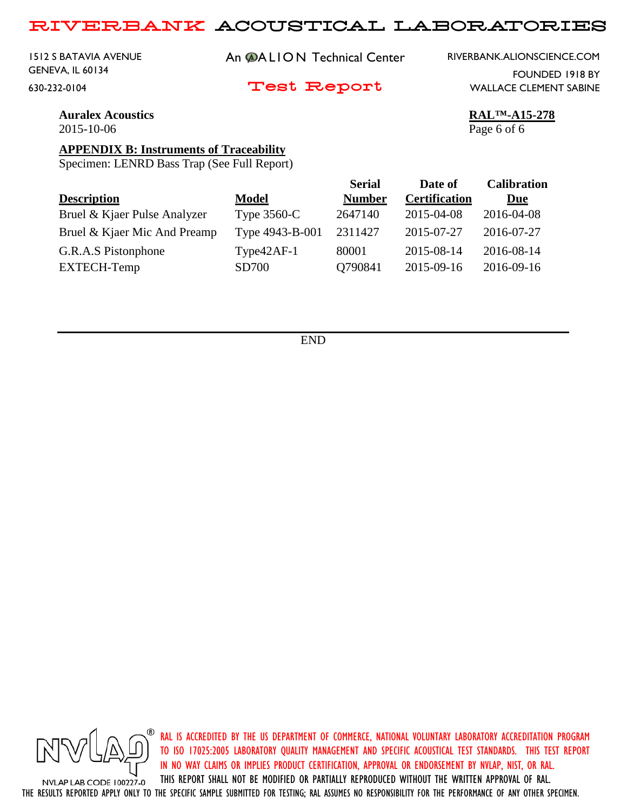1512 S BATAVIA AVENUE GENEVA, IL 60134 630-232-0104

An **@ALION** Technical Center

Test Report

RIVERBANK.ALIONSCIENCE.COM

FOUNDED 1918 BY WALLACE CLEMENT SABINE

**Auralex Acoustics RAL™-A15-278** 2015-10-06 Page 6 of 6

#### **APPENDIX B: Instruments of Traceability**

Specimen: LENRD Bass Trap (See Full Report)

|                              |                 | <b>Serial</b> | Date of              | <b>Calibration</b> |
|------------------------------|-----------------|---------------|----------------------|--------------------|
| <b>Description</b>           | Model           | <b>Number</b> | <b>Certification</b> | <u>Due</u>         |
| Bruel & Kjaer Pulse Analyzer | Type $3560-C$   | 2647140       | 2015-04-08           | 2016-04-08         |
| Bruel & Kjaer Mic And Preamp | Type 4943-B-001 | 2311427       | 2015-07-27           | 2016-07-27         |
| G.R.A.S Pistonphone          | $Type42AF-1$    | 80001         | 2015-08-14           | 2016-08-14         |
| EXTECH-Temp                  | <b>SD700</b>    | Q790841       | 2015-09-16           | 2016-09-16         |
|                              |                 |               |                      |                    |

END



RAL IS ACCREDITED BY THE US DEPARTMENT OF COMMERCE, NATIONAL VOLUNTARY LABORATORY ACCREDITATION PROGRAM TO ISO 17025:2005 LABORATORY QUALITY MANAGEMENT AND SPECIFIC ACOUSTICAL TEST STANDARDS. THIS TEST REPORT IN NO WAY CLAIMS OR IMPLIES PRODUCT CERTIFICATION, APPROVAL OR ENDORSEMENT BY NVLAP, NIST, OR RAL.

THIS REPORT SHALL NOT BE MODIFIED OR PARTIALLY REPRODUCED WITHOUT THE WRITTEN APPROVAL OF RAL. NVLAP LAB CODE 100227-0 THE RESULTS REPORTED APPLY ONLY TO THE SPECIFIC SAMPLE SUBMITTED FOR TESTING; RAL ASSUMES NO RESPONSIBILITY FOR THE PERFORMANCE OF ANY OTHER SPECIMEN.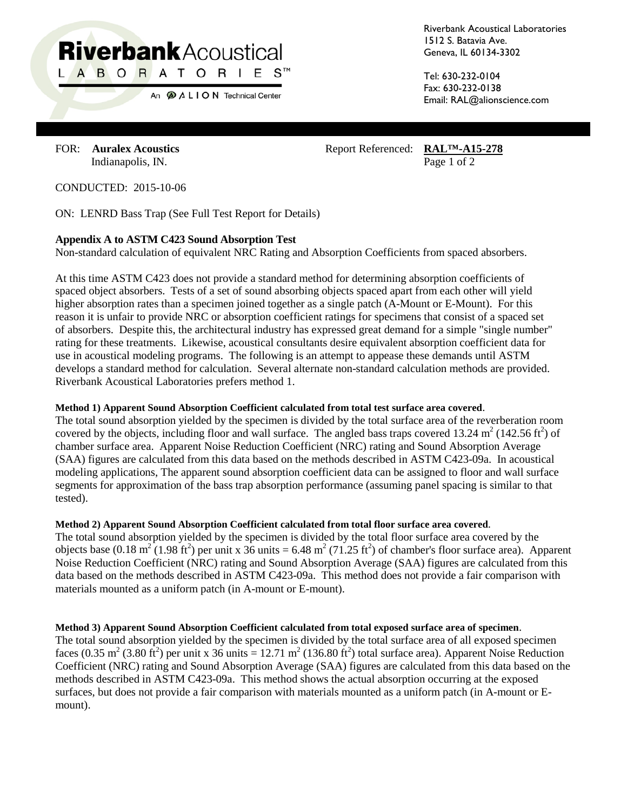# **Riverbank Acoustical** L A B O R A T O R I E S™

An  $\bigcirc$  A L I O N Technical Center

Riverbank Acoustical Laboratories 1512 S. Batavia Ave. Geneva, IL 60134-3302

Tel: 630-232-0104 Fax: 630-232-0138 Email: RAL@alionscience.com

FOR: **Auralex Acoustics** Report Referenced: **RAL<sup>TM</sup>-A15-278** Indianapolis, IN. Page 1 of 2

CONDUCTED: 2015-10-06

ON: LENRD Bass Trap (See Full Test Report for Details)

#### **Appendix A to ASTM C423 Sound Absorption Test**

Non-standard calculation of equivalent NRC Rating and Absorption Coefficients from spaced absorbers.

At this time ASTM C423 does not provide a standard method for determining absorption coefficients of spaced object absorbers. Tests of a set of sound absorbing objects spaced apart from each other will yield higher absorption rates than a specimen joined together as a single patch (A-Mount or E-Mount). For this reason it is unfair to provide NRC or absorption coefficient ratings for specimens that consist of a spaced set of absorbers. Despite this, the architectural industry has expressed great demand for a simple "single number" rating for these treatments. Likewise, acoustical consultants desire equivalent absorption coefficient data for use in acoustical modeling programs. The following is an attempt to appease these demands until ASTM develops a standard method for calculation. Several alternate non-standard calculation methods are provided. Riverbank Acoustical Laboratories prefers method 1.

#### **Method 1) Apparent Sound Absorption Coefficient calculated from total test surface area covered**.

The total sound absorption yielded by the specimen is divided by the total surface area of the reverberation room covered by the objects, including floor and wall surface. The angled bass traps covered 13.24  $m^2$  (142.56 ft<sup>2</sup>) of chamber surface area. Apparent Noise Reduction Coefficient (NRC) rating and Sound Absorption Average (SAA) figures are calculated from this data based on the methods described in ASTM C423-09a. In acoustical modeling applications, The apparent sound absorption coefficient data can be assigned to floor and wall surface segments for approximation of the bass trap absorption performance (assuming panel spacing is similar to that tested).

#### **Method 2) Apparent Sound Absorption Coefficient calculated from total floor surface area covered**.

The total sound absorption yielded by the specimen is divided by the total floor surface area covered by the objects base (0.18 m<sup>2</sup> (1.98 ft<sup>2</sup>) per unit x 36 units = 6.48 m<sup>2</sup> (71.25 ft<sup>2</sup>) of chamber's floor surface area). Apparent Noise Reduction Coefficient (NRC) rating and Sound Absorption Average (SAA) figures are calculated from this data based on the methods described in ASTM C423-09a. This method does not provide a fair comparison with materials mounted as a uniform patch (in A-mount or E-mount).

#### **Method 3) Apparent Sound Absorption Coefficient calculated from total exposed surface area of specimen**.

The total sound absorption yielded by the specimen is divided by the total surface area of all exposed specimen faces (0.35 m<sup>2</sup> (3.80 ft<sup>2</sup>) per unit x 36 units = 12.71 m<sup>2</sup> (136.80 ft<sup>2</sup>) total surface area). Apparent Noise Reduction Coefficient (NRC) rating and Sound Absorption Average (SAA) figures are calculated from this data based on the methods described in ASTM C423-09a. This method shows the actual absorption occurring at the exposed surfaces, but does not provide a fair comparison with materials mounted as a uniform patch (in A-mount or Emount).